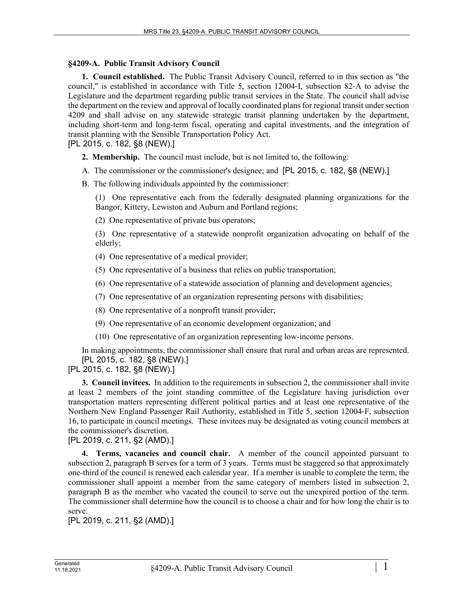## **§4209-A. Public Transit Advisory Council**

**1. Council established.** The Public Transit Advisory Council, referred to in this section as "the council," is established in accordance with Title 5, section 12004‑I, subsection 82‑A to advise the Legislature and the department regarding public transit services in the State. The council shall advise the department on the review and approval of locally coordinated plans for regional transit under section 4209 and shall advise on any statewide strategic transit planning undertaken by the department, including short-term and long-term fiscal, operating and capital investments, and the integration of transit planning with the Sensible Transportation Policy Act.

[PL 2015, c. 182, §8 (NEW).]

**2. Membership.** The council must include, but is not limited to, the following:

A. The commissioner or the commissioner's designee; and [PL 2015, c. 182, §8 (NEW).]

B. The following individuals appointed by the commissioner:

(1) One representative each from the federally designated planning organizations for the Bangor, Kittery, Lewiston and Auburn and Portland regions;

(2) One representative of private bus operators;

(3) One representative of a statewide nonprofit organization advocating on behalf of the elderly;

(4) One representative of a medical provider;

(5) One representative of a business that relies on public transportation;

(6) One representative of a statewide association of planning and development agencies;

(7) One representative of an organization representing persons with disabilities;

(8) One representative of a nonprofit transit provider;

(9) One representative of an economic development organization; and

(10) One representative of an organization representing low-income persons.

In making appointments, the commissioner shall ensure that rural and urban areas are represented. [PL 2015, c. 182, §8 (NEW).]

[PL 2015, c. 182, §8 (NEW).]

**3. Council invitees.** In addition to the requirements in subsection 2, the commissioner shall invite at least 2 members of the joint standing committee of the Legislature having jurisdiction over transportation matters representing different political parties and at least one representative of the Northern New England Passenger Rail Authority, established in Title 5, section 12004‑F, subsection 16, to participate in council meetings. These invitees may be designated as voting council members at the commissioner's discretion.

[PL 2019, c. 211, §2 (AMD).]

**4. Terms, vacancies and council chair.** A member of the council appointed pursuant to subsection 2, paragraph B serves for a term of 3 years. Terms must be staggered so that approximately one-third of the council is renewed each calendar year. If a member is unable to complete the term, the commissioner shall appoint a member from the same category of members listed in subsection 2, paragraph B as the member who vacated the council to serve out the unexpired portion of the term. The commissioner shall determine how the council is to choose a chair and for how long the chair is to serve.

[PL 2019, c. 211, §2 (AMD).]